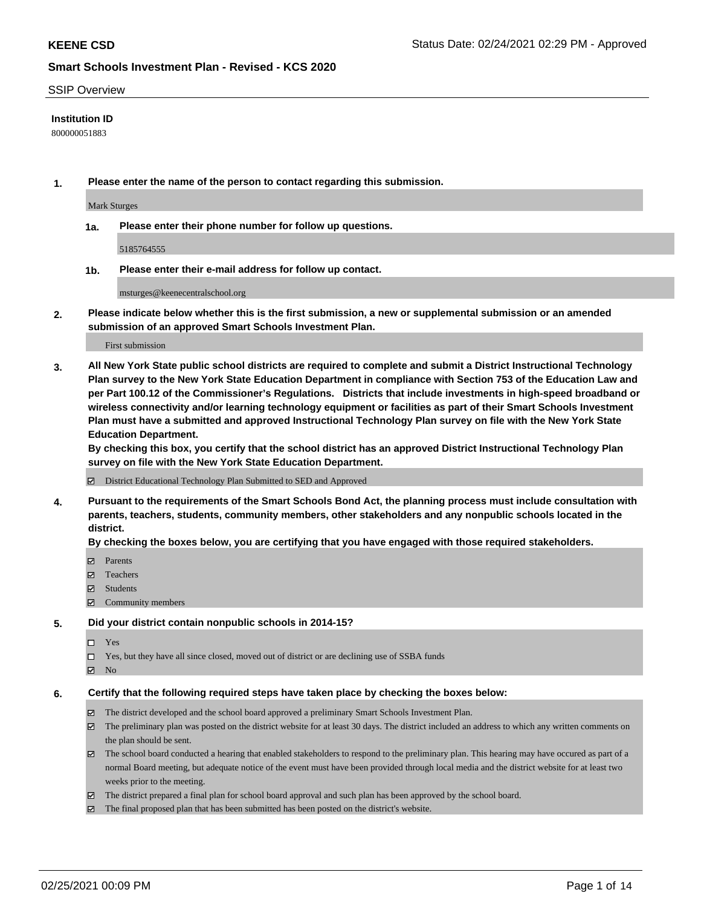#### SSIP Overview

#### **Institution ID**

800000051883

**1. Please enter the name of the person to contact regarding this submission.**

Mark Sturges

**1a. Please enter their phone number for follow up questions.**

5185764555

**1b. Please enter their e-mail address for follow up contact.**

msturges@keenecentralschool.org

**2. Please indicate below whether this is the first submission, a new or supplemental submission or an amended submission of an approved Smart Schools Investment Plan.**

#### First submission

**3. All New York State public school districts are required to complete and submit a District Instructional Technology Plan survey to the New York State Education Department in compliance with Section 753 of the Education Law and per Part 100.12 of the Commissioner's Regulations. Districts that include investments in high-speed broadband or wireless connectivity and/or learning technology equipment or facilities as part of their Smart Schools Investment Plan must have a submitted and approved Instructional Technology Plan survey on file with the New York State Education Department.** 

**By checking this box, you certify that the school district has an approved District Instructional Technology Plan survey on file with the New York State Education Department.**

District Educational Technology Plan Submitted to SED and Approved

**4. Pursuant to the requirements of the Smart Schools Bond Act, the planning process must include consultation with parents, teachers, students, community members, other stakeholders and any nonpublic schools located in the district.** 

#### **By checking the boxes below, you are certifying that you have engaged with those required stakeholders.**

- **Ø** Parents
- Teachers
- Students
- $\Xi$  Community members

#### **5. Did your district contain nonpublic schools in 2014-15?**

- □ Yes
- □ Yes, but they have all since closed, moved out of district or are declining use of SSBA funds
- **Ø** No

### **6. Certify that the following required steps have taken place by checking the boxes below:**

- The district developed and the school board approved a preliminary Smart Schools Investment Plan.
- The preliminary plan was posted on the district website for at least 30 days. The district included an address to which any written comments on the plan should be sent.
- The school board conducted a hearing that enabled stakeholders to respond to the preliminary plan. This hearing may have occured as part of a normal Board meeting, but adequate notice of the event must have been provided through local media and the district website for at least two weeks prior to the meeting.
- The district prepared a final plan for school board approval and such plan has been approved by the school board.
- $\boxtimes$  The final proposed plan that has been submitted has been posted on the district's website.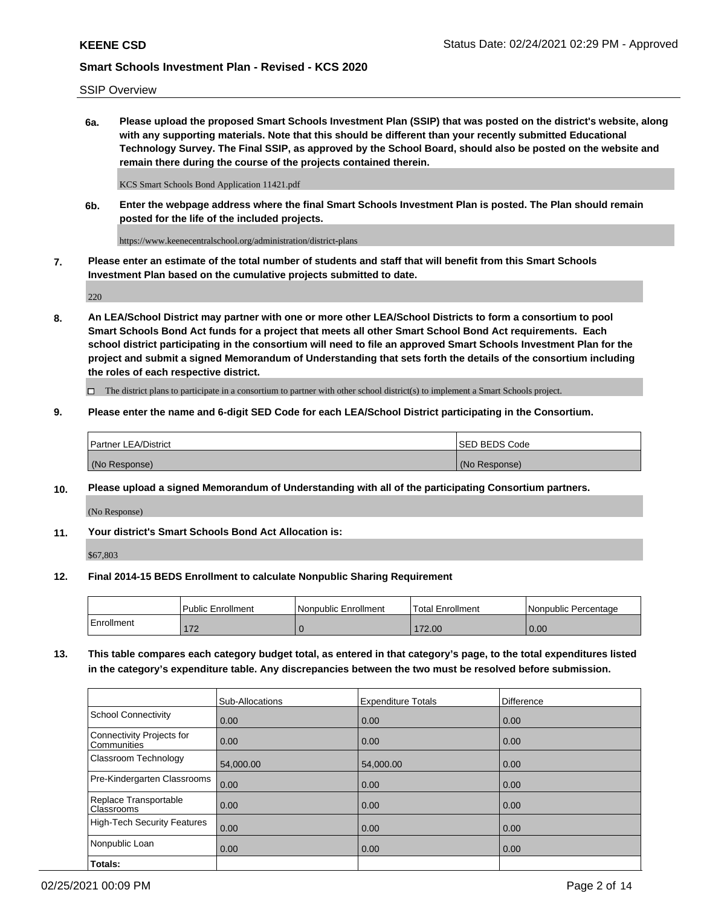SSIP Overview

**6a. Please upload the proposed Smart Schools Investment Plan (SSIP) that was posted on the district's website, along with any supporting materials. Note that this should be different than your recently submitted Educational Technology Survey. The Final SSIP, as approved by the School Board, should also be posted on the website and remain there during the course of the projects contained therein.**

KCS Smart Schools Bond Application 11421.pdf

**6b. Enter the webpage address where the final Smart Schools Investment Plan is posted. The Plan should remain posted for the life of the included projects.**

https://www.keenecentralschool.org/administration/district-plans

**7. Please enter an estimate of the total number of students and staff that will benefit from this Smart Schools Investment Plan based on the cumulative projects submitted to date.**

220

**8. An LEA/School District may partner with one or more other LEA/School Districts to form a consortium to pool Smart Schools Bond Act funds for a project that meets all other Smart School Bond Act requirements. Each school district participating in the consortium will need to file an approved Smart Schools Investment Plan for the project and submit a signed Memorandum of Understanding that sets forth the details of the consortium including the roles of each respective district.**

 $\Box$  The district plans to participate in a consortium to partner with other school district(s) to implement a Smart Schools project.

#### **9. Please enter the name and 6-digit SED Code for each LEA/School District participating in the Consortium.**

| Partner LEA/District | <b>ISED BEDS Code</b> |
|----------------------|-----------------------|
| (No Response)        | (No Response)         |

#### **10. Please upload a signed Memorandum of Understanding with all of the participating Consortium partners.**

(No Response)

**11. Your district's Smart Schools Bond Act Allocation is:**

\$67,803

#### **12. Final 2014-15 BEDS Enrollment to calculate Nonpublic Sharing Requirement**

|            | <b>Public Enrollment</b> | Nonpublic Enrollment | <b>Total Enrollment</b> | l Nonpublic Percentage |
|------------|--------------------------|----------------------|-------------------------|------------------------|
| Enrollment | 170<br>' ' 4             |                      | 172.00                  | 0.00                   |

**13. This table compares each category budget total, as entered in that category's page, to the total expenditures listed in the category's expenditure table. Any discrepancies between the two must be resolved before submission.**

|                                          | Sub-Allocations | <b>Expenditure Totals</b> | Difference |
|------------------------------------------|-----------------|---------------------------|------------|
| <b>School Connectivity</b>               | 0.00            | 0.00                      | 0.00       |
| Connectivity Projects for<br>Communities | 0.00            | 0.00                      | 0.00       |
| Classroom Technology                     | 54,000.00       | 54,000.00                 | 0.00       |
| Pre-Kindergarten Classrooms              | 0.00            | 0.00                      | 0.00       |
| Replace Transportable<br>Classrooms      | 0.00            | 0.00                      | 0.00       |
| <b>High-Tech Security Features</b>       | 0.00            | 0.00                      | 0.00       |
| Nonpublic Loan                           | 0.00            | 0.00                      | 0.00       |
| Totals:                                  |                 |                           |            |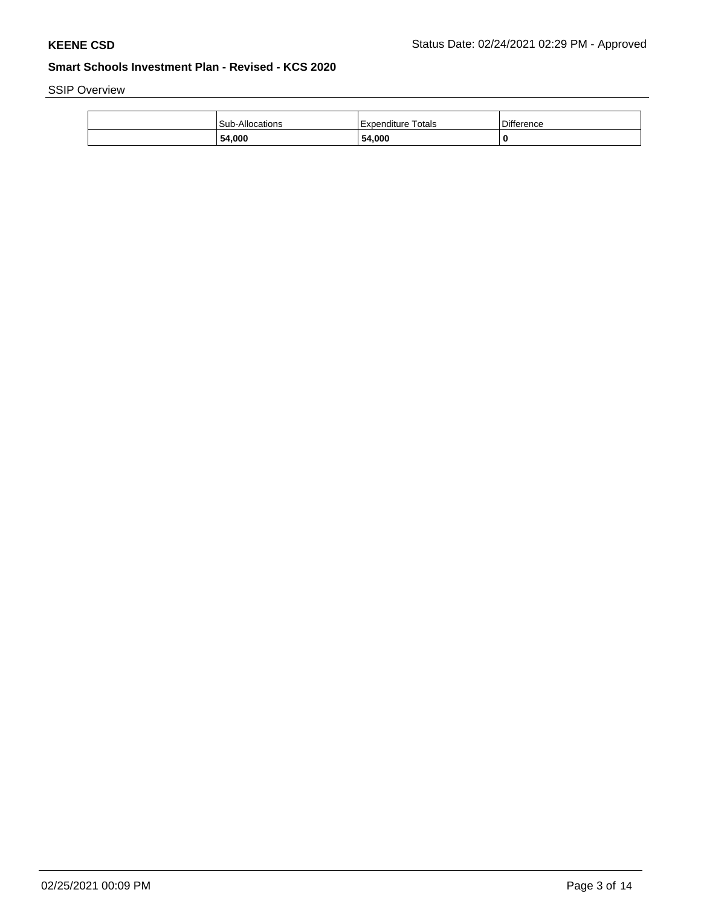SSIP Overview

| 54,000          | 54,000             | 0                 |
|-----------------|--------------------|-------------------|
| Sub-Allocations | Expenditure Totals | <b>Difference</b> |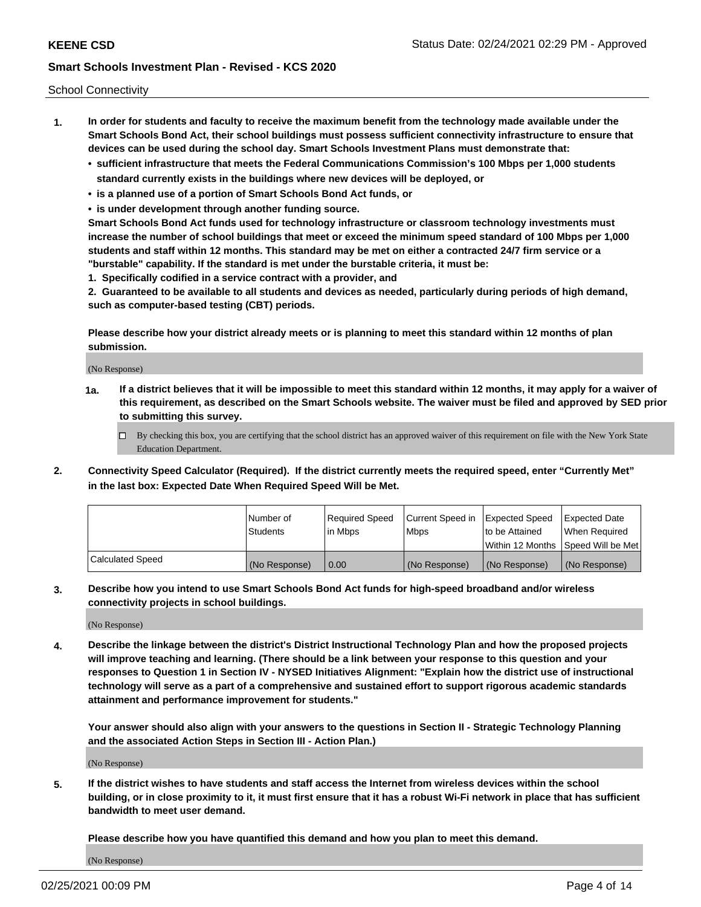School Connectivity

- **1. In order for students and faculty to receive the maximum benefit from the technology made available under the Smart Schools Bond Act, their school buildings must possess sufficient connectivity infrastructure to ensure that devices can be used during the school day. Smart Schools Investment Plans must demonstrate that:**
	- **• sufficient infrastructure that meets the Federal Communications Commission's 100 Mbps per 1,000 students standard currently exists in the buildings where new devices will be deployed, or**
	- **• is a planned use of a portion of Smart Schools Bond Act funds, or**
	- **• is under development through another funding source.**

**Smart Schools Bond Act funds used for technology infrastructure or classroom technology investments must increase the number of school buildings that meet or exceed the minimum speed standard of 100 Mbps per 1,000 students and staff within 12 months. This standard may be met on either a contracted 24/7 firm service or a "burstable" capability. If the standard is met under the burstable criteria, it must be:**

**1. Specifically codified in a service contract with a provider, and**

**2. Guaranteed to be available to all students and devices as needed, particularly during periods of high demand, such as computer-based testing (CBT) periods.**

**Please describe how your district already meets or is planning to meet this standard within 12 months of plan submission.**

(No Response)

**1a. If a district believes that it will be impossible to meet this standard within 12 months, it may apply for a waiver of this requirement, as described on the Smart Schools website. The waiver must be filed and approved by SED prior to submitting this survey.**

 $\Box$  By checking this box, you are certifying that the school district has an approved waiver of this requirement on file with the New York State Education Department.

**2. Connectivity Speed Calculator (Required). If the district currently meets the required speed, enter "Currently Met" in the last box: Expected Date When Required Speed Will be Met.**

|                  | l Number of     | Required Speed | Current Speed in | Expected Speed | Expected Date                           |
|------------------|-----------------|----------------|------------------|----------------|-----------------------------------------|
|                  | <b>Students</b> | In Mbps        | l Mbps           | to be Attained | When Required                           |
|                  |                 |                |                  |                | l Within 12 Months ISpeed Will be Met l |
| Calculated Speed | (No Response)   | 0.00           | (No Response)    | (No Response)  | (No Response)                           |

**3. Describe how you intend to use Smart Schools Bond Act funds for high-speed broadband and/or wireless connectivity projects in school buildings.**

(No Response)

**4. Describe the linkage between the district's District Instructional Technology Plan and how the proposed projects will improve teaching and learning. (There should be a link between your response to this question and your responses to Question 1 in Section IV - NYSED Initiatives Alignment: "Explain how the district use of instructional technology will serve as a part of a comprehensive and sustained effort to support rigorous academic standards attainment and performance improvement for students."** 

**Your answer should also align with your answers to the questions in Section II - Strategic Technology Planning and the associated Action Steps in Section III - Action Plan.)**

(No Response)

**5. If the district wishes to have students and staff access the Internet from wireless devices within the school building, or in close proximity to it, it must first ensure that it has a robust Wi-Fi network in place that has sufficient bandwidth to meet user demand.**

**Please describe how you have quantified this demand and how you plan to meet this demand.**

(No Response)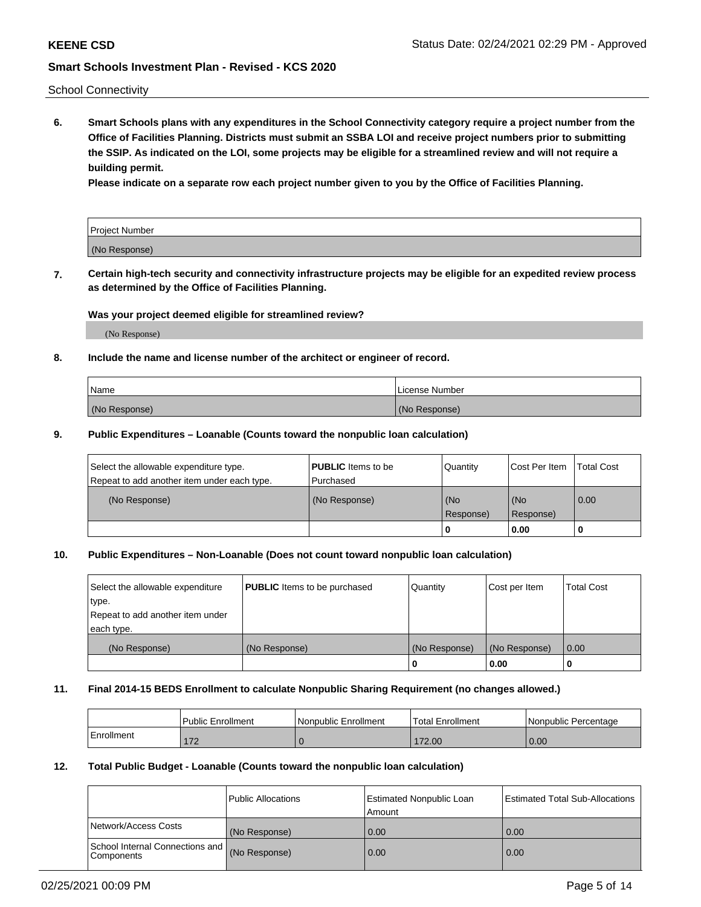School Connectivity

**6. Smart Schools plans with any expenditures in the School Connectivity category require a project number from the Office of Facilities Planning. Districts must submit an SSBA LOI and receive project numbers prior to submitting the SSIP. As indicated on the LOI, some projects may be eligible for a streamlined review and will not require a building permit.**

**Please indicate on a separate row each project number given to you by the Office of Facilities Planning.**

| Project Number |  |
|----------------|--|
| (No Response)  |  |

**7. Certain high-tech security and connectivity infrastructure projects may be eligible for an expedited review process as determined by the Office of Facilities Planning.**

### **Was your project deemed eligible for streamlined review?**

(No Response)

### **8. Include the name and license number of the architect or engineer of record.**

| Name          | License Number |
|---------------|----------------|
| (No Response) | (No Response)  |

#### **9. Public Expenditures – Loanable (Counts toward the nonpublic loan calculation)**

| Select the allowable expenditure type.<br>Repeat to add another item under each type. | <b>PUBLIC</b> Items to be<br>l Purchased | Quantity           | Cost Per Item    | <b>Total Cost</b> |
|---------------------------------------------------------------------------------------|------------------------------------------|--------------------|------------------|-------------------|
| (No Response)                                                                         | (No Response)                            | l (No<br>Response) | (No<br>Response) | $\overline{0.00}$ |
|                                                                                       |                                          | O                  | 0.00             |                   |

## **10. Public Expenditures – Non-Loanable (Does not count toward nonpublic loan calculation)**

| Select the allowable expenditure<br>type.      | <b>PUBLIC</b> Items to be purchased | Quantity      | Cost per Item | <b>Total Cost</b> |
|------------------------------------------------|-------------------------------------|---------------|---------------|-------------------|
| Repeat to add another item under<br>each type. |                                     |               |               |                   |
| (No Response)                                  | (No Response)                       | (No Response) | (No Response) | 0.00              |
|                                                |                                     |               | 0.00          |                   |

#### **11. Final 2014-15 BEDS Enrollment to calculate Nonpublic Sharing Requirement (no changes allowed.)**

|            | Public Enrollment | l Nonpublic Enrollment | <b>Total Enrollment</b> | Nonpublic Percentage |
|------------|-------------------|------------------------|-------------------------|----------------------|
| Enrollment | 170<br>17 L       |                        | 72.00                   | 0.00                 |

#### **12. Total Public Budget - Loanable (Counts toward the nonpublic loan calculation)**

|                                                      | Public Allocations | <b>Estimated Nonpublic Loan</b><br>Amount | Estimated Total Sub-Allocations |
|------------------------------------------------------|--------------------|-------------------------------------------|---------------------------------|
| Network/Access Costs                                 | (No Response)      | 0.00                                      | 0.00                            |
| School Internal Connections and<br><b>Components</b> | (No Response)      | 0.00                                      | 0.00                            |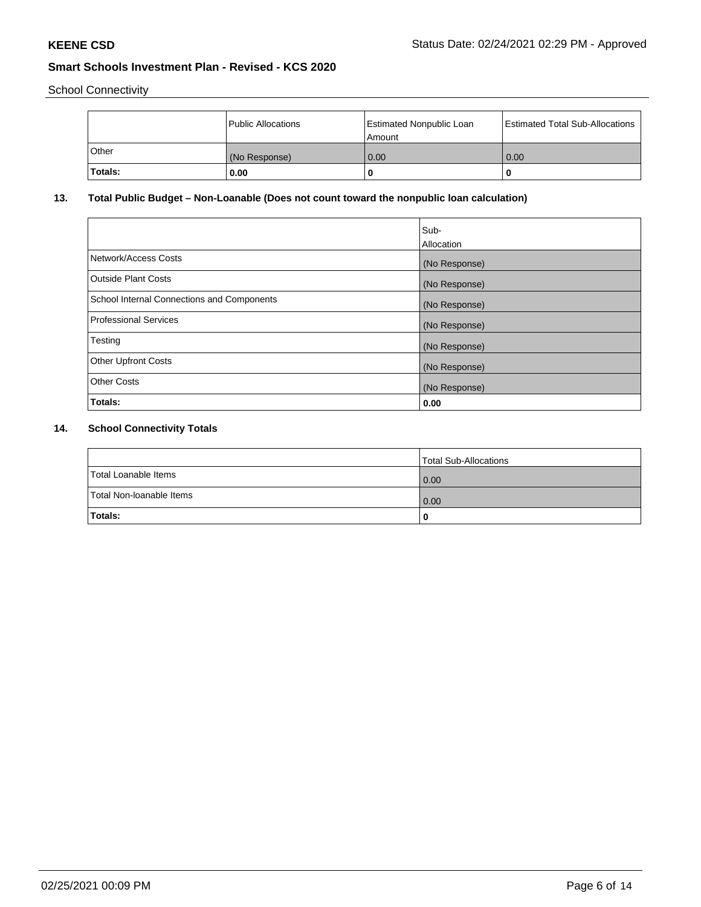School Connectivity

|         | Public Allocations | <b>Estimated Nonpublic Loan</b><br>Amount | <b>Estimated Total Sub-Allocations</b> |
|---------|--------------------|-------------------------------------------|----------------------------------------|
| l Other | (No Response)      | 0.00                                      | 0.00                                   |
| Totals: | 0.00               | 0                                         |                                        |

# **13. Total Public Budget – Non-Loanable (Does not count toward the nonpublic loan calculation)**

|                                                   | Sub-<br>Allocation |
|---------------------------------------------------|--------------------|
| Network/Access Costs                              | (No Response)      |
| <b>Outside Plant Costs</b>                        | (No Response)      |
| <b>School Internal Connections and Components</b> | (No Response)      |
| <b>Professional Services</b>                      | (No Response)      |
| Testing                                           | (No Response)      |
| <b>Other Upfront Costs</b>                        | (No Response)      |
| <b>Other Costs</b>                                | (No Response)      |
| Totals:                                           | 0.00               |

# **14. School Connectivity Totals**

|                          | Total Sub-Allocations |
|--------------------------|-----------------------|
| Total Loanable Items     | 0.00                  |
| Total Non-Ioanable Items | 0.00                  |
| Totals:                  |                       |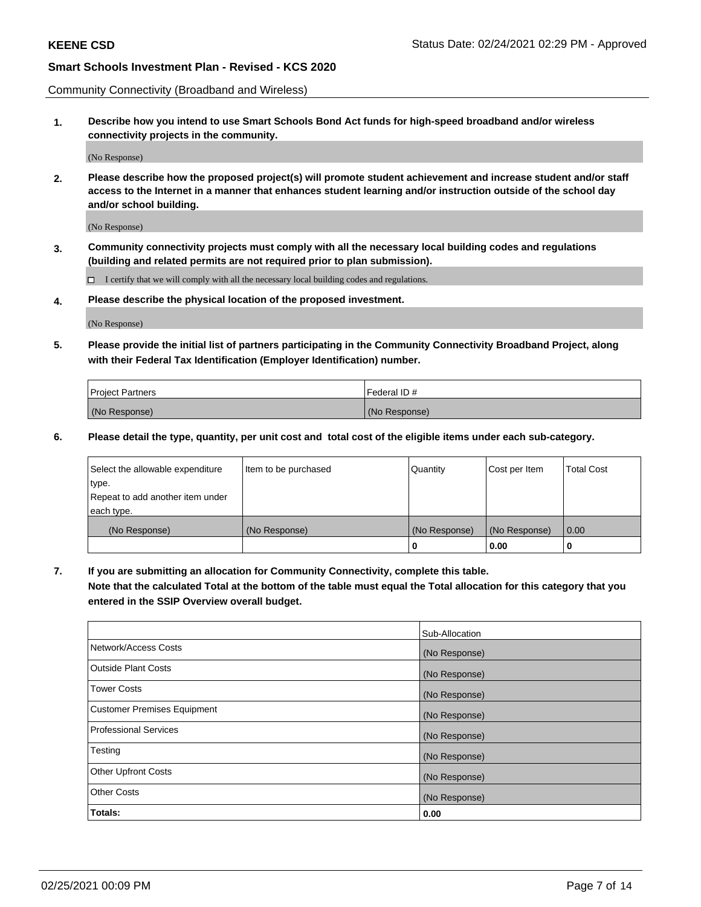Community Connectivity (Broadband and Wireless)

**1. Describe how you intend to use Smart Schools Bond Act funds for high-speed broadband and/or wireless connectivity projects in the community.**

(No Response)

**2. Please describe how the proposed project(s) will promote student achievement and increase student and/or staff access to the Internet in a manner that enhances student learning and/or instruction outside of the school day and/or school building.**

(No Response)

**3. Community connectivity projects must comply with all the necessary local building codes and regulations (building and related permits are not required prior to plan submission).**

 $\Box$  I certify that we will comply with all the necessary local building codes and regulations.

**4. Please describe the physical location of the proposed investment.**

(No Response)

**5. Please provide the initial list of partners participating in the Community Connectivity Broadband Project, along with their Federal Tax Identification (Employer Identification) number.**

| <b>Project Partners</b> | l Federal ID # |
|-------------------------|----------------|
| (No Response)           | (No Response)  |

**6. Please detail the type, quantity, per unit cost and total cost of the eligible items under each sub-category.**

| Select the allowable expenditure | Item to be purchased | Quantity      | Cost per Item | <b>Total Cost</b> |
|----------------------------------|----------------------|---------------|---------------|-------------------|
| type.                            |                      |               |               |                   |
| Repeat to add another item under |                      |               |               |                   |
| each type.                       |                      |               |               |                   |
| (No Response)                    | (No Response)        | (No Response) | (No Response) | 0.00              |
|                                  |                      | o             | 0.00          |                   |

**7. If you are submitting an allocation for Community Connectivity, complete this table.**

**Note that the calculated Total at the bottom of the table must equal the Total allocation for this category that you entered in the SSIP Overview overall budget.**

|                                    | Sub-Allocation |
|------------------------------------|----------------|
| Network/Access Costs               | (No Response)  |
| Outside Plant Costs                | (No Response)  |
| <b>Tower Costs</b>                 | (No Response)  |
| <b>Customer Premises Equipment</b> | (No Response)  |
| <b>Professional Services</b>       | (No Response)  |
| Testing                            | (No Response)  |
| <b>Other Upfront Costs</b>         | (No Response)  |
| <b>Other Costs</b>                 | (No Response)  |
| Totals:                            | 0.00           |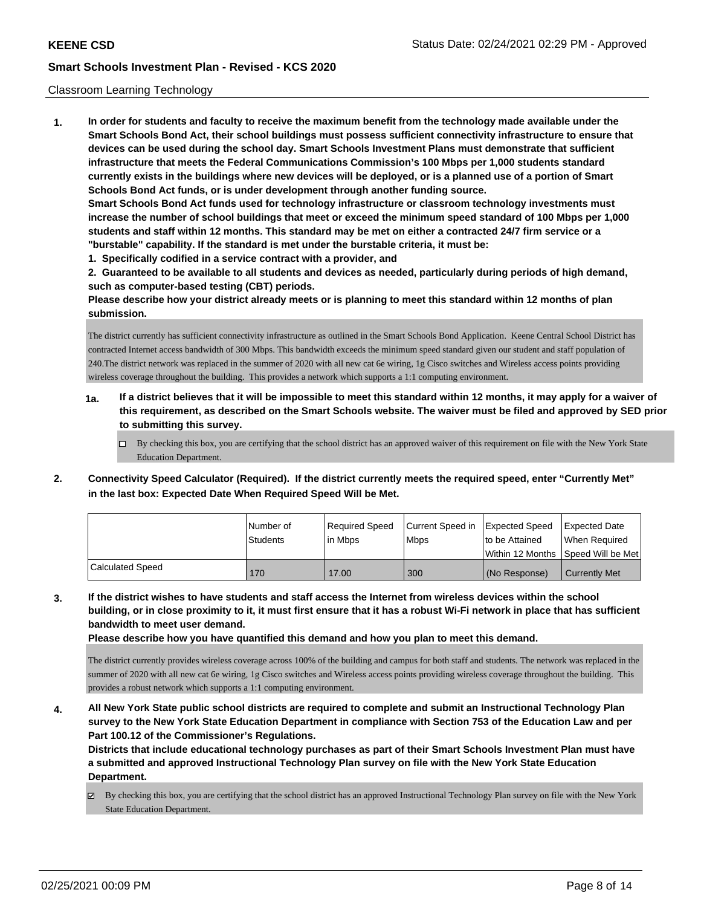#### Classroom Learning Technology

**1. In order for students and faculty to receive the maximum benefit from the technology made available under the Smart Schools Bond Act, their school buildings must possess sufficient connectivity infrastructure to ensure that devices can be used during the school day. Smart Schools Investment Plans must demonstrate that sufficient infrastructure that meets the Federal Communications Commission's 100 Mbps per 1,000 students standard currently exists in the buildings where new devices will be deployed, or is a planned use of a portion of Smart Schools Bond Act funds, or is under development through another funding source. Smart Schools Bond Act funds used for technology infrastructure or classroom technology investments must increase the number of school buildings that meet or exceed the minimum speed standard of 100 Mbps per 1,000 students and staff within 12 months. This standard may be met on either a contracted 24/7 firm service or a "burstable" capability. If the standard is met under the burstable criteria, it must be:**

**1. Specifically codified in a service contract with a provider, and**

**2. Guaranteed to be available to all students and devices as needed, particularly during periods of high demand, such as computer-based testing (CBT) periods.**

**Please describe how your district already meets or is planning to meet this standard within 12 months of plan submission.**

The district currently has sufficient connectivity infrastructure as outlined in the Smart Schools Bond Application. Keene Central School District has contracted Internet access bandwidth of 300 Mbps. This bandwidth exceeds the minimum speed standard given our student and staff population of 240.The district network was replaced in the summer of 2020 with all new cat 6e wiring, 1g Cisco switches and Wireless access points providing wireless coverage throughout the building. This provides a network which supports a 1:1 computing environment.

- **1a. If a district believes that it will be impossible to meet this standard within 12 months, it may apply for a waiver of this requirement, as described on the Smart Schools website. The waiver must be filed and approved by SED prior to submitting this survey.**
	- $\Box$  By checking this box, you are certifying that the school district has an approved waiver of this requirement on file with the New York State Education Department.
- **2. Connectivity Speed Calculator (Required). If the district currently meets the required speed, enter "Currently Met" in the last box: Expected Date When Required Speed Will be Met.**

|                  | l Number of     | Required Speed | Current Speed in | <b>Expected Speed</b>                | <b>Expected Date</b> |
|------------------|-----------------|----------------|------------------|--------------------------------------|----------------------|
|                  | <b>Students</b> | in Mbps        | <b>Mbps</b>      | to be Attained                       | When Required        |
|                  |                 |                |                  | Within 12 Months   Speed Will be Met |                      |
| Calculated Speed | 170             | 17.00          | 300              | (No Response)                        | <b>Currently Met</b> |

**3. If the district wishes to have students and staff access the Internet from wireless devices within the school building, or in close proximity to it, it must first ensure that it has a robust Wi-Fi network in place that has sufficient bandwidth to meet user demand.**

**Please describe how you have quantified this demand and how you plan to meet this demand.**

The district currently provides wireless coverage across 100% of the building and campus for both staff and students. The network was replaced in the summer of 2020 with all new cat 6e wiring, 1g Cisco switches and Wireless access points providing wireless coverage throughout the building. This provides a robust network which supports a 1:1 computing environment.

**4. All New York State public school districts are required to complete and submit an Instructional Technology Plan survey to the New York State Education Department in compliance with Section 753 of the Education Law and per Part 100.12 of the Commissioner's Regulations.**

**Districts that include educational technology purchases as part of their Smart Schools Investment Plan must have a submitted and approved Instructional Technology Plan survey on file with the New York State Education Department.**

 $\boxtimes$  By checking this box, you are certifying that the school district has an approved Instructional Technology Plan survey on file with the New York State Education Department.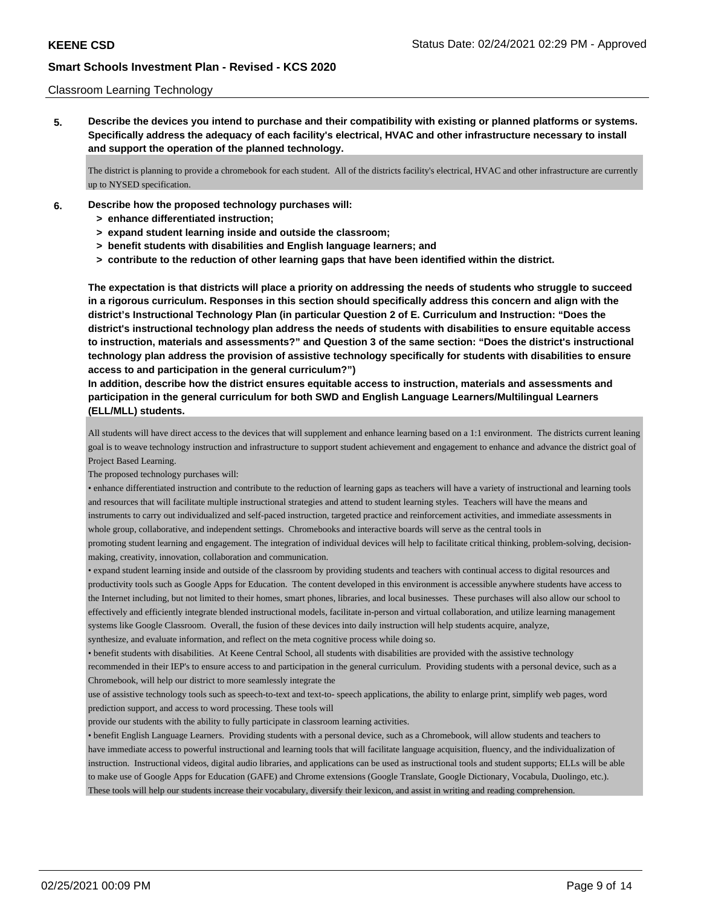#### Classroom Learning Technology

**5. Describe the devices you intend to purchase and their compatibility with existing or planned platforms or systems. Specifically address the adequacy of each facility's electrical, HVAC and other infrastructure necessary to install and support the operation of the planned technology.**

The district is planning to provide a chromebook for each student. All of the districts facility's electrical, HVAC and other infrastructure are currently up to NYSED specification.

- **6. Describe how the proposed technology purchases will:**
	- **> enhance differentiated instruction;**
	- **> expand student learning inside and outside the classroom;**
	- **> benefit students with disabilities and English language learners; and**
	- **> contribute to the reduction of other learning gaps that have been identified within the district.**

**The expectation is that districts will place a priority on addressing the needs of students who struggle to succeed in a rigorous curriculum. Responses in this section should specifically address this concern and align with the district's Instructional Technology Plan (in particular Question 2 of E. Curriculum and Instruction: "Does the district's instructional technology plan address the needs of students with disabilities to ensure equitable access to instruction, materials and assessments?" and Question 3 of the same section: "Does the district's instructional technology plan address the provision of assistive technology specifically for students with disabilities to ensure access to and participation in the general curriculum?")**

## **In addition, describe how the district ensures equitable access to instruction, materials and assessments and participation in the general curriculum for both SWD and English Language Learners/Multilingual Learners (ELL/MLL) students.**

All students will have direct access to the devices that will supplement and enhance learning based on a 1:1 environment. The districts current leaning goal is to weave technology instruction and infrastructure to support student achievement and engagement to enhance and advance the district goal of Project Based Learning.

The proposed technology purchases will:

• enhance differentiated instruction and contribute to the reduction of learning gaps as teachers will have a variety of instructional and learning tools and resources that will facilitate multiple instructional strategies and attend to student learning styles. Teachers will have the means and instruments to carry out individualized and self-paced instruction, targeted practice and reinforcement activities, and immediate assessments in whole group, collaborative, and independent settings. Chromebooks and interactive boards will serve as the central tools in

promoting student learning and engagement. The integration of individual devices will help to facilitate critical thinking, problem-solving, decisionmaking, creativity, innovation, collaboration and communication.

• expand student learning inside and outside of the classroom by providing students and teachers with continual access to digital resources and productivity tools such as Google Apps for Education. The content developed in this environment is accessible anywhere students have access to the Internet including, but not limited to their homes, smart phones, libraries, and local businesses. These purchases will also allow our school to effectively and efficiently integrate blended instructional models, facilitate in-person and virtual collaboration, and utilize learning management systems like Google Classroom. Overall, the fusion of these devices into daily instruction will help students acquire, analyze,

synthesize, and evaluate information, and reflect on the meta cognitive process while doing so.

• benefit students with disabilities. At Keene Central School, all students with disabilities are provided with the assistive technology recommended in their IEP's to ensure access to and participation in the general curriculum. Providing students with a personal device, such as a Chromebook, will help our district to more seamlessly integrate the

use of assistive technology tools such as speech-to-text and text-to- speech applications, the ability to enlarge print, simplify web pages, word prediction support, and access to word processing. These tools will

provide our students with the ability to fully participate in classroom learning activities.

• benefit English Language Learners. Providing students with a personal device, such as a Chromebook, will allow students and teachers to have immediate access to powerful instructional and learning tools that will facilitate language acquisition, fluency, and the individualization of instruction. Instructional videos, digital audio libraries, and applications can be used as instructional tools and student supports; ELLs will be able to make use of Google Apps for Education (GAFE) and Chrome extensions (Google Translate, Google Dictionary, Vocabula, Duolingo, etc.). These tools will help our students increase their vocabulary, diversify their lexicon, and assist in writing and reading comprehension.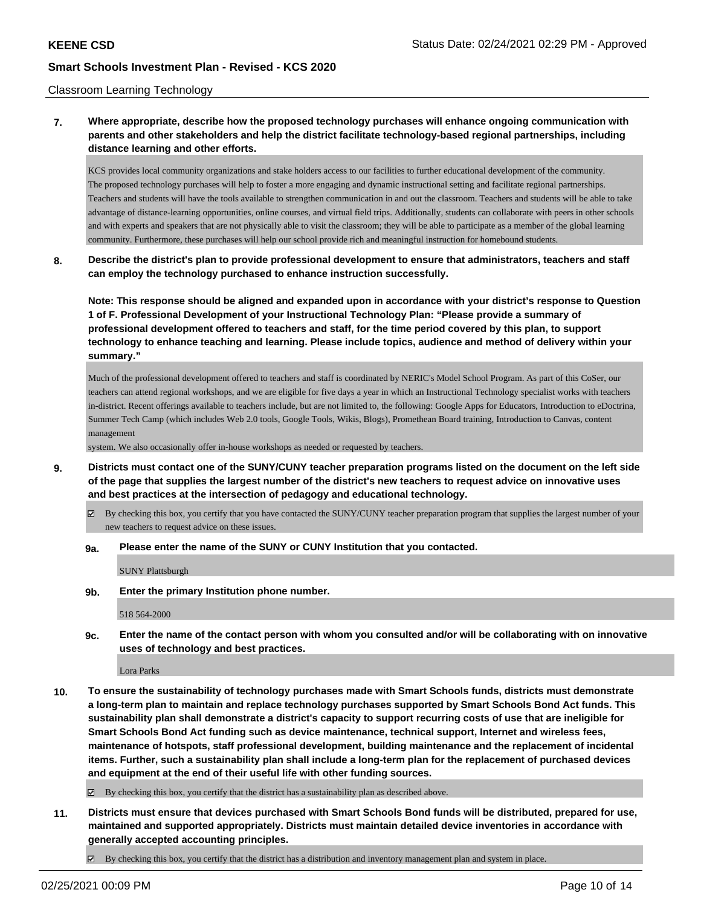#### Classroom Learning Technology

## **7. Where appropriate, describe how the proposed technology purchases will enhance ongoing communication with parents and other stakeholders and help the district facilitate technology-based regional partnerships, including distance learning and other efforts.**

KCS provides local community organizations and stake holders access to our facilities to further educational development of the community. The proposed technology purchases will help to foster a more engaging and dynamic instructional setting and facilitate regional partnerships. Teachers and students will have the tools available to strengthen communication in and out the classroom. Teachers and students will be able to take advantage of distance-learning opportunities, online courses, and virtual field trips. Additionally, students can collaborate with peers in other schools and with experts and speakers that are not physically able to visit the classroom; they will be able to participate as a member of the global learning community. Furthermore, these purchases will help our school provide rich and meaningful instruction for homebound students.

## **8. Describe the district's plan to provide professional development to ensure that administrators, teachers and staff can employ the technology purchased to enhance instruction successfully.**

**Note: This response should be aligned and expanded upon in accordance with your district's response to Question 1 of F. Professional Development of your Instructional Technology Plan: "Please provide a summary of professional development offered to teachers and staff, for the time period covered by this plan, to support technology to enhance teaching and learning. Please include topics, audience and method of delivery within your summary."**

Much of the professional development offered to teachers and staff is coordinated by NERIC's Model School Program. As part of this CoSer, our teachers can attend regional workshops, and we are eligible for five days a year in which an Instructional Technology specialist works with teachers in-district. Recent offerings available to teachers include, but are not limited to, the following: Google Apps for Educators, Introduction to eDoctrina, Summer Tech Camp (which includes Web 2.0 tools, Google Tools, Wikis, Blogs), Promethean Board training, Introduction to Canvas, content management

system. We also occasionally offer in-house workshops as needed or requested by teachers.

- **9. Districts must contact one of the SUNY/CUNY teacher preparation programs listed on the document on the left side of the page that supplies the largest number of the district's new teachers to request advice on innovative uses and best practices at the intersection of pedagogy and educational technology.**
	- By checking this box, you certify that you have contacted the SUNY/CUNY teacher preparation program that supplies the largest number of your new teachers to request advice on these issues.

#### **9a. Please enter the name of the SUNY or CUNY Institution that you contacted.**

SUNY Plattsburgh

**9b. Enter the primary Institution phone number.**

518 564-2000

**9c. Enter the name of the contact person with whom you consulted and/or will be collaborating with on innovative uses of technology and best practices.**

Lora Parks

**10. To ensure the sustainability of technology purchases made with Smart Schools funds, districts must demonstrate a long-term plan to maintain and replace technology purchases supported by Smart Schools Bond Act funds. This sustainability plan shall demonstrate a district's capacity to support recurring costs of use that are ineligible for Smart Schools Bond Act funding such as device maintenance, technical support, Internet and wireless fees, maintenance of hotspots, staff professional development, building maintenance and the replacement of incidental items. Further, such a sustainability plan shall include a long-term plan for the replacement of purchased devices and equipment at the end of their useful life with other funding sources.**

By checking this box, you certify that the district has a sustainability plan as described above.

**11. Districts must ensure that devices purchased with Smart Schools Bond funds will be distributed, prepared for use, maintained and supported appropriately. Districts must maintain detailed device inventories in accordance with generally accepted accounting principles.**

 $\boxtimes$  By checking this box, you certify that the district has a distribution and inventory management plan and system in place.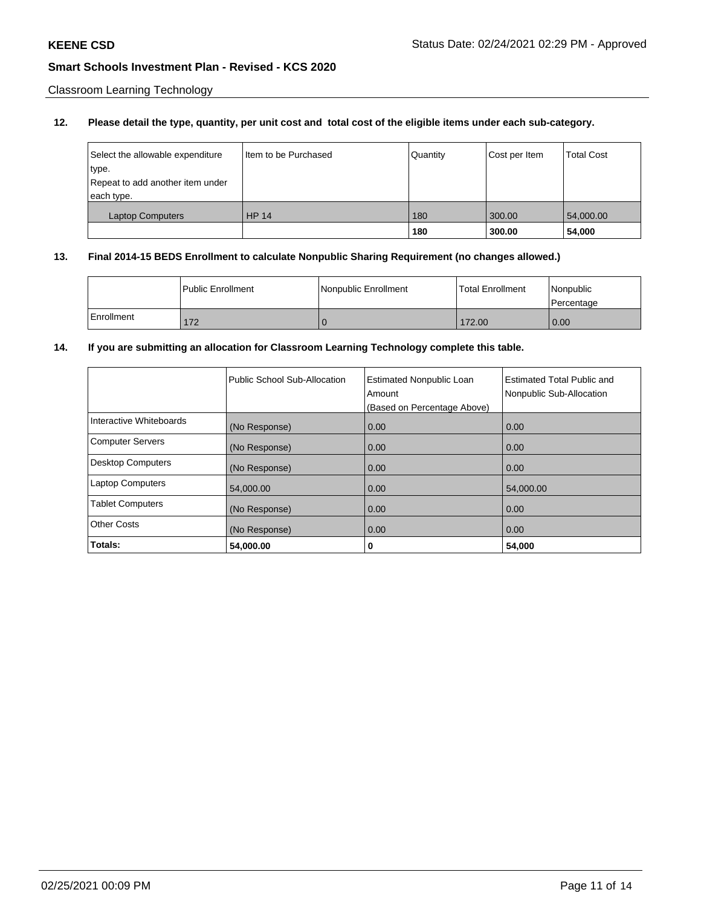Classroom Learning Technology

## **12. Please detail the type, quantity, per unit cost and total cost of the eligible items under each sub-category.**

| Select the allowable expenditure<br>type.<br>Repeat to add another item under<br>each type. | Iltem to be Purchased | Quantity | Cost per Item | <b>Total Cost</b> |
|---------------------------------------------------------------------------------------------|-----------------------|----------|---------------|-------------------|
| <b>Laptop Computers</b>                                                                     | <b>HP 14</b>          | 180      | 300.00        | 54,000.00         |
|                                                                                             |                       | 180      | 300.00        | 54,000            |

#### **13. Final 2014-15 BEDS Enrollment to calculate Nonpublic Sharing Requirement (no changes allowed.)**

|            | <b>Public Enrollment</b> | Nonpublic Enrollment | l Total Enrollment | l Nonpublic<br>l Percentage |
|------------|--------------------------|----------------------|--------------------|-----------------------------|
| Enrollment | 172                      |                      | 172.00             | 0.00                        |

## **14. If you are submitting an allocation for Classroom Learning Technology complete this table.**

|                          | Public School Sub-Allocation | <b>Estimated Nonpublic Loan</b><br>Amount<br>(Based on Percentage Above) | <b>Estimated Total Public and</b><br>Nonpublic Sub-Allocation |
|--------------------------|------------------------------|--------------------------------------------------------------------------|---------------------------------------------------------------|
| Interactive Whiteboards  | (No Response)                | 0.00                                                                     | 0.00                                                          |
| <b>Computer Servers</b>  | (No Response)                | 0.00                                                                     | 0.00                                                          |
| <b>Desktop Computers</b> | (No Response)                | 0.00                                                                     | 0.00                                                          |
| <b>Laptop Computers</b>  | 54,000.00                    | 0.00                                                                     | 54,000.00                                                     |
| <b>Tablet Computers</b>  | (No Response)                | 0.00                                                                     | 0.00                                                          |
| <b>Other Costs</b>       | (No Response)                | 0.00                                                                     | 0.00                                                          |
| Totals:                  | 54,000.00                    | 0                                                                        | 54,000                                                        |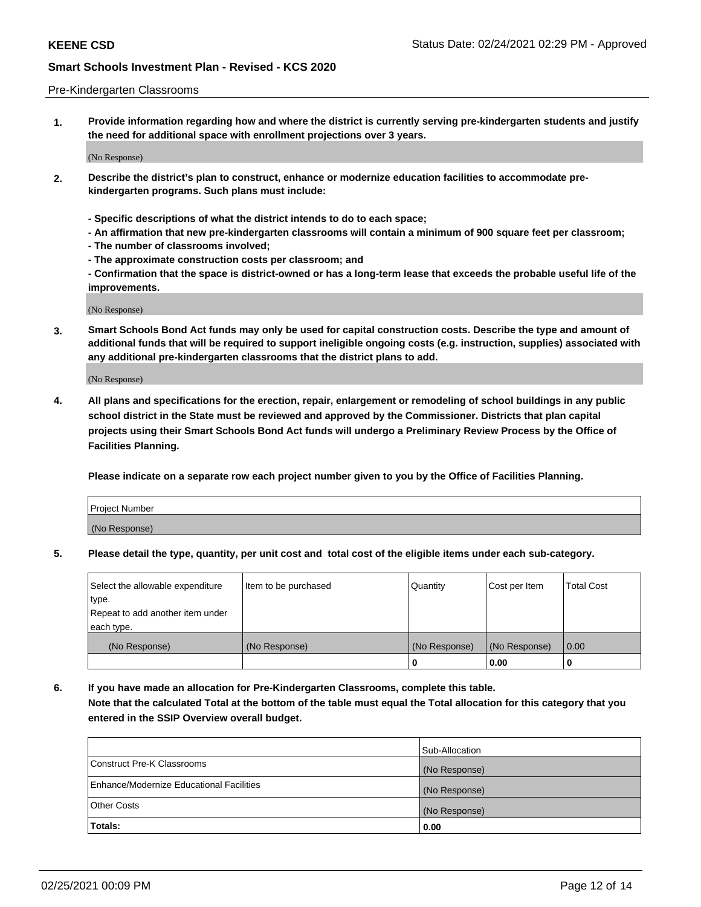#### Pre-Kindergarten Classrooms

**1. Provide information regarding how and where the district is currently serving pre-kindergarten students and justify the need for additional space with enrollment projections over 3 years.**

(No Response)

- **2. Describe the district's plan to construct, enhance or modernize education facilities to accommodate prekindergarten programs. Such plans must include:**
	- **Specific descriptions of what the district intends to do to each space;**
	- **An affirmation that new pre-kindergarten classrooms will contain a minimum of 900 square feet per classroom;**
	- **The number of classrooms involved;**
	- **The approximate construction costs per classroom; and**
	- **Confirmation that the space is district-owned or has a long-term lease that exceeds the probable useful life of the improvements.**

(No Response)

**3. Smart Schools Bond Act funds may only be used for capital construction costs. Describe the type and amount of additional funds that will be required to support ineligible ongoing costs (e.g. instruction, supplies) associated with any additional pre-kindergarten classrooms that the district plans to add.**

(No Response)

**4. All plans and specifications for the erection, repair, enlargement or remodeling of school buildings in any public school district in the State must be reviewed and approved by the Commissioner. Districts that plan capital projects using their Smart Schools Bond Act funds will undergo a Preliminary Review Process by the Office of Facilities Planning.**

**Please indicate on a separate row each project number given to you by the Office of Facilities Planning.**

| Project Number |  |
|----------------|--|
| (No Response)  |  |
|                |  |

**5. Please detail the type, quantity, per unit cost and total cost of the eligible items under each sub-category.**

| Select the allowable expenditure | Item to be purchased | Quantity      | Cost per Item | <b>Total Cost</b> |
|----------------------------------|----------------------|---------------|---------------|-------------------|
| type.                            |                      |               |               |                   |
| Repeat to add another item under |                      |               |               |                   |
| each type.                       |                      |               |               |                   |
| (No Response)                    | (No Response)        | (No Response) | (No Response) | 0.00              |
|                                  |                      | υ             | 0.00          |                   |

**6. If you have made an allocation for Pre-Kindergarten Classrooms, complete this table. Note that the calculated Total at the bottom of the table must equal the Total allocation for this category that you entered in the SSIP Overview overall budget.**

|                                          | Sub-Allocation |
|------------------------------------------|----------------|
| Construct Pre-K Classrooms               | (No Response)  |
| Enhance/Modernize Educational Facilities | (No Response)  |
| <b>Other Costs</b>                       | (No Response)  |
| Totals:                                  | 0.00           |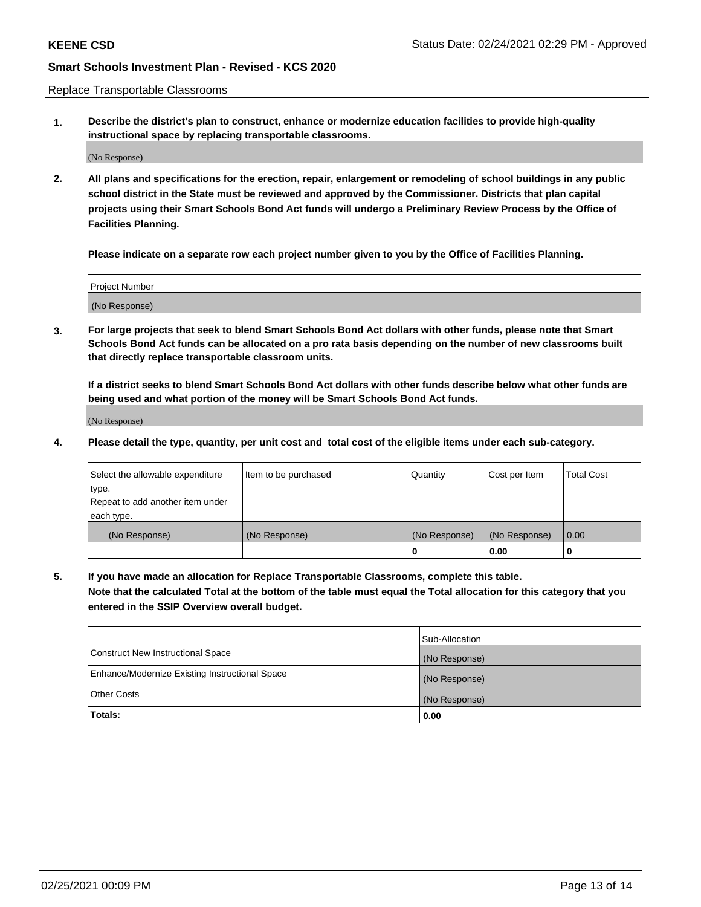Replace Transportable Classrooms

**1. Describe the district's plan to construct, enhance or modernize education facilities to provide high-quality instructional space by replacing transportable classrooms.**

(No Response)

**2. All plans and specifications for the erection, repair, enlargement or remodeling of school buildings in any public school district in the State must be reviewed and approved by the Commissioner. Districts that plan capital projects using their Smart Schools Bond Act funds will undergo a Preliminary Review Process by the Office of Facilities Planning.**

**Please indicate on a separate row each project number given to you by the Office of Facilities Planning.**

| Project Number |  |
|----------------|--|
|                |  |
|                |  |
|                |  |
|                |  |
| (No Response)  |  |
|                |  |
|                |  |
|                |  |

**3. For large projects that seek to blend Smart Schools Bond Act dollars with other funds, please note that Smart Schools Bond Act funds can be allocated on a pro rata basis depending on the number of new classrooms built that directly replace transportable classroom units.**

**If a district seeks to blend Smart Schools Bond Act dollars with other funds describe below what other funds are being used and what portion of the money will be Smart Schools Bond Act funds.**

(No Response)

**4. Please detail the type, quantity, per unit cost and total cost of the eligible items under each sub-category.**

| Select the allowable expenditure | Item to be purchased | Quantity      | Cost per Item | Total Cost |
|----------------------------------|----------------------|---------------|---------------|------------|
| ∣type.                           |                      |               |               |            |
| Repeat to add another item under |                      |               |               |            |
| each type.                       |                      |               |               |            |
| (No Response)                    | (No Response)        | (No Response) | (No Response) | 0.00       |
|                                  |                      | u             | 0.00          |            |

**5. If you have made an allocation for Replace Transportable Classrooms, complete this table. Note that the calculated Total at the bottom of the table must equal the Total allocation for this category that you entered in the SSIP Overview overall budget.**

|                                                | Sub-Allocation |
|------------------------------------------------|----------------|
| Construct New Instructional Space              | (No Response)  |
| Enhance/Modernize Existing Instructional Space | (No Response)  |
| <b>Other Costs</b>                             | (No Response)  |
| Totals:                                        | 0.00           |